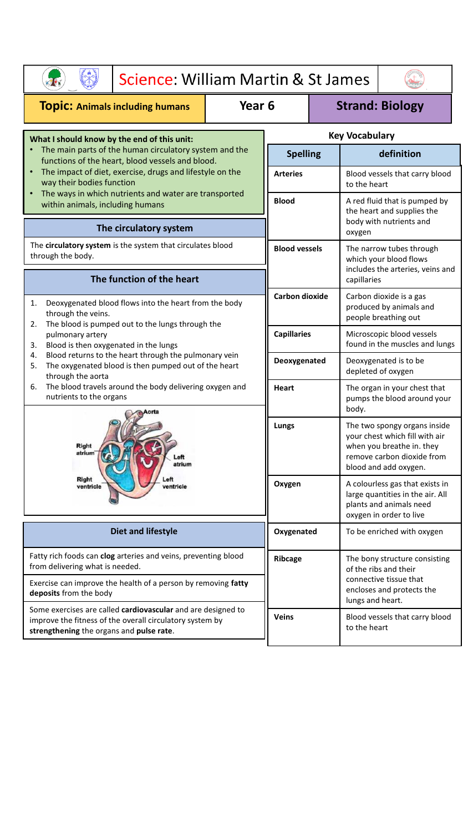| Science: William Martin & St James                                                                                                                                                                                                                           |                       |                 |                                                                            |                                                                                                                                                    |                                                                                                  |  |  |  |
|--------------------------------------------------------------------------------------------------------------------------------------------------------------------------------------------------------------------------------------------------------------|-----------------------|-----------------|----------------------------------------------------------------------------|----------------------------------------------------------------------------------------------------------------------------------------------------|--------------------------------------------------------------------------------------------------|--|--|--|
| <b>Topic: Animals including humans</b>                                                                                                                                                                                                                       | Year <sub>6</sub>     |                 |                                                                            | <b>Strand: Biology</b>                                                                                                                             |                                                                                                  |  |  |  |
| What I should know by the end of this unit:                                                                                                                                                                                                                  |                       |                 | <b>Key Vocabulary</b>                                                      |                                                                                                                                                    |                                                                                                  |  |  |  |
| The main parts of the human circulatory system and the<br>functions of the heart, blood vessels and blood.<br>The impact of diet, exercise, drugs and lifestyle on the<br>way their bodies function<br>The ways in which nutrients and water are transported |                       | <b>Spelling</b> |                                                                            | definition                                                                                                                                         |                                                                                                  |  |  |  |
|                                                                                                                                                                                                                                                              |                       | <b>Arteries</b> |                                                                            | Blood vessels that carry blood<br>to the heart                                                                                                     |                                                                                                  |  |  |  |
| within animals, including humans                                                                                                                                                                                                                             |                       |                 | <b>Blood</b>                                                               |                                                                                                                                                    | A red fluid that is pumped by<br>the heart and supplies the<br>body with nutrients and<br>oxygen |  |  |  |
| The circulatory system                                                                                                                                                                                                                                       |                       |                 |                                                                            |                                                                                                                                                    |                                                                                                  |  |  |  |
| The circulatory system is the system that circulates blood<br>through the body.                                                                                                                                                                              |                       |                 | <b>Blood vessels</b>                                                       |                                                                                                                                                    | The narrow tubes through<br>which your blood flows                                               |  |  |  |
| The function of the heart                                                                                                                                                                                                                                    |                       |                 | includes the arteries, veins and<br>capillaries                            |                                                                                                                                                    |                                                                                                  |  |  |  |
| Deoxygenated blood flows into the heart from the body<br>1.<br>through the veins.<br>The blood is pumped out to the lungs through the<br>2.                                                                                                                  | <b>Carbon dioxide</b> |                 | Carbon dioxide is a gas<br>produced by animals and<br>people breathing out |                                                                                                                                                    |                                                                                                  |  |  |  |
| pulmonary artery<br>Blood is then oxygenated in the lungs<br>3.                                                                                                                                                                                              |                       |                 | <b>Capillaries</b>                                                         |                                                                                                                                                    | Microscopic blood vessels<br>found in the muscles and lungs                                      |  |  |  |
| Blood returns to the heart through the pulmonary vein<br>4.<br>The oxygenated blood is then pumped out of the heart<br>5.<br>through the aorta                                                                                                               |                       | Deoxygenated    |                                                                            | Deoxygenated is to be<br>depleted of oxygen                                                                                                        |                                                                                                  |  |  |  |
| The blood travels around the body delivering oxygen and<br>6.<br>nutrients to the organs                                                                                                                                                                     |                       | <b>Heart</b>    |                                                                            | The organ in your chest that<br>pumps the blood around your<br>body.                                                                               |                                                                                                  |  |  |  |
| Right<br>atrium <sup>-</sup><br>Left<br>atrium<br>Right<br>ventricle<br>ventricle                                                                                                                                                                            |                       | Lungs           |                                                                            | The two spongy organs inside<br>your chest which fill with air<br>when you breathe in. they<br>remove carbon dioxide from<br>blood and add oxygen. |                                                                                                  |  |  |  |
|                                                                                                                                                                                                                                                              |                       | Oxygen          |                                                                            | A colourless gas that exists in<br>large quantities in the air. All<br>plants and animals need<br>oxygen in order to live                          |                                                                                                  |  |  |  |
| <b>Diet and lifestyle</b>                                                                                                                                                                                                                                    |                       | Oxygenated      |                                                                            |                                                                                                                                                    | To be enriched with oxygen                                                                       |  |  |  |
| Fatty rich foods can clog arteries and veins, preventing blood<br>from delivering what is needed.                                                                                                                                                            |                       | Ribcage         |                                                                            | The bony structure consisting<br>of the ribs and their                                                                                             |                                                                                                  |  |  |  |
| Exercise can improve the health of a person by removing fatty<br>deposits from the body                                                                                                                                                                      |                       |                 | connective tissue that<br>encloses and protects the<br>lungs and heart.    |                                                                                                                                                    |                                                                                                  |  |  |  |
| Some exercises are called cardiovascular and are designed to<br>improve the fitness of the overall circulatory system by<br>strengthening the organs and pulse rate.                                                                                         |                       | Veins           |                                                                            | Blood vessels that carry blood<br>to the heart                                                                                                     |                                                                                                  |  |  |  |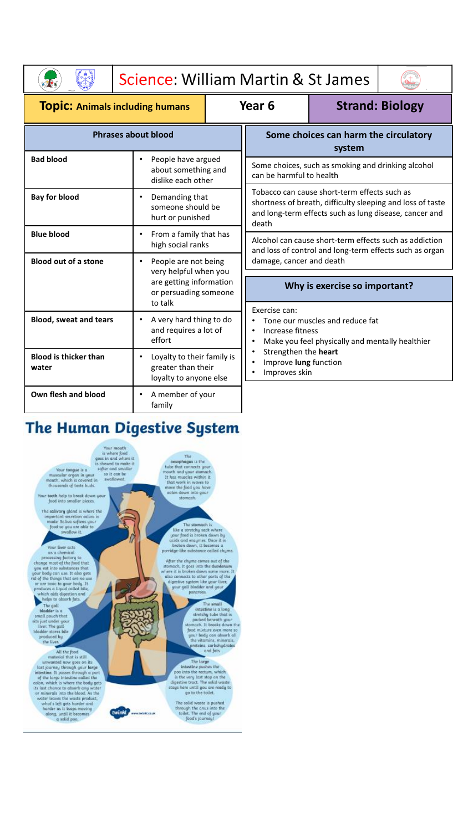|                                        |                                                                                         | Science: William Martin & St James                             |                                                                                                                                                                               |                                                 |  |  |  |
|----------------------------------------|-----------------------------------------------------------------------------------------|----------------------------------------------------------------|-------------------------------------------------------------------------------------------------------------------------------------------------------------------------------|-------------------------------------------------|--|--|--|
| <b>TOPIC: Animals including humans</b> |                                                                                         |                                                                | Year 6                                                                                                                                                                        | <b>Strand: Biology</b>                          |  |  |  |
| <b>Phrases about blood</b>             |                                                                                         |                                                                | Some choices can harm the circulatory<br>system                                                                                                                               |                                                 |  |  |  |
| <b>Bad blood</b>                       | People have argued<br>$\bullet$<br>about something and<br>dislike each other            |                                                                | Some choices, such as smoking and drinking alcohol<br>can be harmful to health                                                                                                |                                                 |  |  |  |
| <b>Bay for blood</b>                   | Demanding that<br>$\bullet$<br>someone should be<br>hurt or punished                    |                                                                | Tobacco can cause short-term effects such as<br>shortness of breath, difficulty sleeping and loss of taste<br>and long-term effects such as lung disease, cancer and<br>death |                                                 |  |  |  |
| <b>Blue blood</b>                      | From a family that has<br>$\bullet$<br>high social ranks                                |                                                                | Alcohol can cause short-term effects such as addiction<br>and loss of control and long-term effects such as organ                                                             |                                                 |  |  |  |
| <b>Blood out of a stone</b>            | People are not being<br>$\bullet$<br>very helpful when you                              |                                                                | damage, cancer and death                                                                                                                                                      |                                                 |  |  |  |
|                                        | are getting information<br>or persuading someone<br>to talk                             |                                                                | Why is exercise so important?                                                                                                                                                 |                                                 |  |  |  |
| <b>Blood, sweat and tears</b>          | A very hard thing to do<br>$\bullet$<br>and requires a lot of<br>effort                 |                                                                | Exercise can:<br>Tone our muscles and reduce fat<br>Increase fitness<br>$\bullet$                                                                                             | Make you feel physically and mentally healthier |  |  |  |
| <b>Blood is thicker than</b><br>water  | Loyalty to their family is<br>$\bullet$<br>greater than their<br>loyalty to anyone else | Strengthen the heart<br>Improve lung function<br>Improves skin |                                                                                                                                                                               |                                                 |  |  |  |
| Own flesh and blood                    | A member of your<br>$\bullet$<br>family                                                 |                                                                |                                                                                                                                                                               |                                                 |  |  |  |

## The Human Digestive System